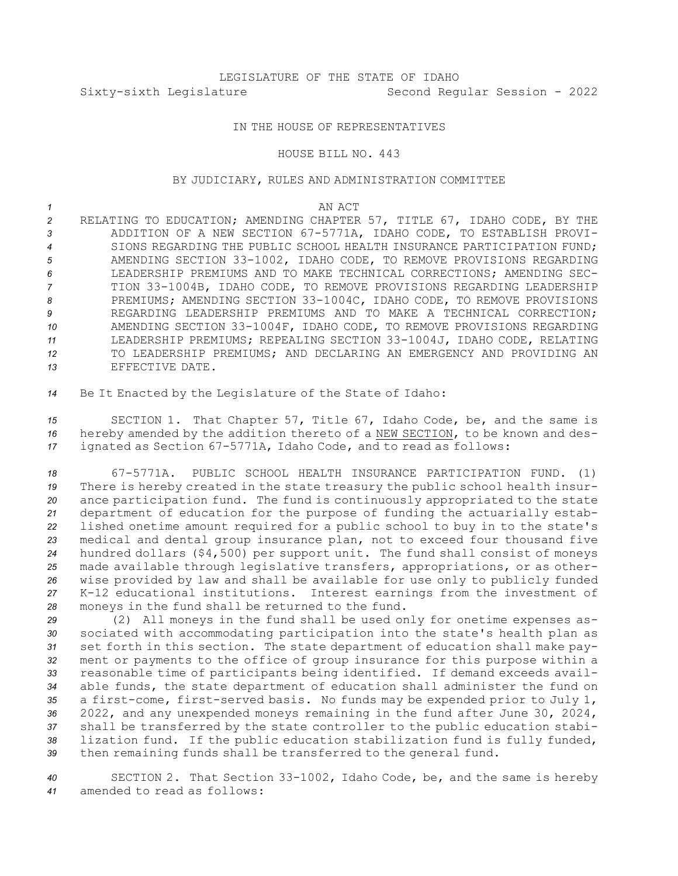### IN THE HOUSE OF REPRESENTATIVES

#### HOUSE BILL NO. 443

## BY JUDICIARY, RULES AND ADMINISTRATION COMMITTEE

*1* AN ACT

 RELATING TO EDUCATION; AMENDING CHAPTER 57, TITLE 67, IDAHO CODE, BY THE ADDITION OF A NEW SECTION 67-5771A, IDAHO CODE, TO ESTABLISH PROVI- SIONS REGARDING THE PUBLIC SCHOOL HEALTH INSURANCE PARTICIPATION FUND; AMENDING SECTION 33-1002, IDAHO CODE, TO REMOVE PROVISIONS REGARDING LEADERSHIP PREMIUMS AND TO MAKE TECHNICAL CORRECTIONS; AMENDING SEC- TION 33-1004B, IDAHO CODE, TO REMOVE PROVISIONS REGARDING LEADERSHIP PREMIUMS; AMENDING SECTION 33-1004C, IDAHO CODE, TO REMOVE PROVISIONS REGARDING LEADERSHIP PREMIUMS AND TO MAKE A TECHNICAL CORRECTION; AMENDING SECTION 33-1004F, IDAHO CODE, TO REMOVE PROVISIONS REGARDING LEADERSHIP PREMIUMS; REPEALING SECTION 33-1004J, IDAHO CODE, RELATING TO LEADERSHIP PREMIUMS; AND DECLARING AN EMERGENCY AND PROVIDING AN EFFECTIVE DATE.

*<sup>14</sup>* Be It Enacted by the Legislature of the State of Idaho:

*<sup>15</sup>* SECTION 1. That Chapter 57, Title 67, Idaho Code, be, and the same is *<sup>16</sup>* hereby amended by the addition thereto of <sup>a</sup> NEW SECTION, to be known and des-*<sup>17</sup>* ignated as Section 67-5771A, Idaho Code, and to read as follows:

 67-5771A. PUBLIC SCHOOL HEALTH INSURANCE PARTICIPATION FUND. (1) There is hereby created in the state treasury the public school health insur- ance participation fund. The fund is continuously appropriated to the state department of education for the purpose of funding the actuarially estab- lished onetime amount required for <sup>a</sup> public school to buy in to the state's medical and dental group insurance plan, not to exceed four thousand five hundred dollars (\$4,500) per support unit. The fund shall consist of moneys made available through legislative transfers, appropriations, or as other- wise provided by law and shall be available for use only to publicly funded K-12 educational institutions. Interest earnings from the investment of moneys in the fund shall be returned to the fund.

 (2) All moneys in the fund shall be used only for onetime expenses as- sociated with accommodating participation into the state's health plan as set forth in this section. The state department of education shall make pay- ment or payments to the office of group insurance for this purpose within <sup>a</sup> reasonable time of participants being identified. If demand exceeds avail- able funds, the state department of education shall administer the fund on <sup>a</sup> first-come, first-served basis. No funds may be expended prior to July 1, 2022, and any unexpended moneys remaining in the fund after June 30, 2024, shall be transferred by the state controller to the public education stabi- lization fund. If the public education stabilization fund is fully funded, then remaining funds shall be transferred to the general fund.

*<sup>40</sup>* SECTION 2. That Section 33-1002, Idaho Code, be, and the same is hereby *41* amended to read as follows: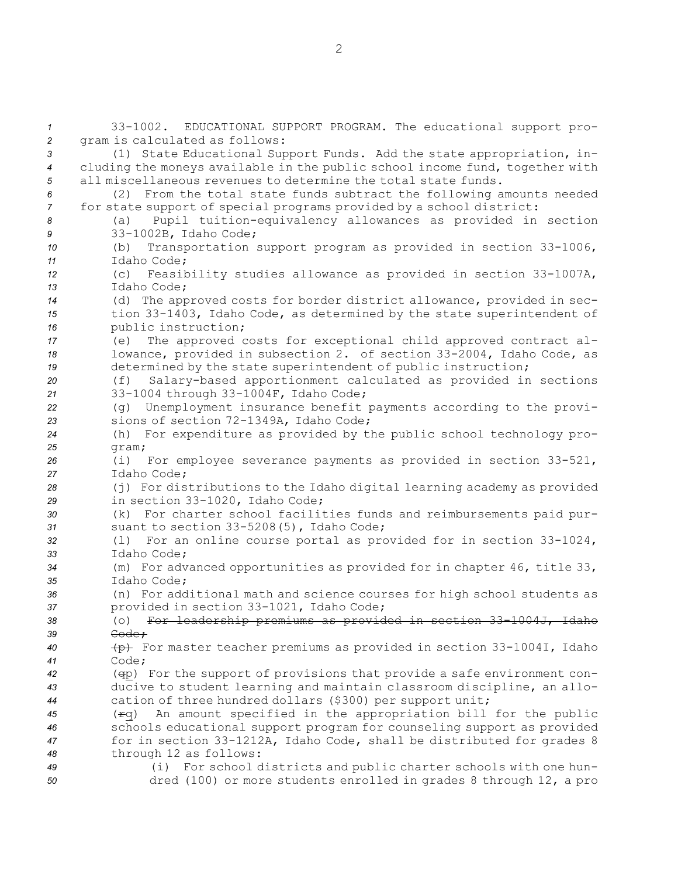33-1002. EDUCATIONAL SUPPORT PROGRAM. The educational support pro- gram is calculated as follows: (1) State Educational Support Funds. Add the state appropriation, in- cluding the moneys available in the public school income fund, together with all miscellaneous revenues to determine the total state funds. (2) From the total state funds subtract the following amounts needed for state support of special programs provided by <sup>a</sup> school district: (a) Pupil tuition-equivalency allowances as provided in section 33-1002B, Idaho Code; (b) Transportation support program as provided in section 33-1006, Idaho Code; (c) Feasibility studies allowance as provided in section 33-1007A, Idaho Code; (d) The approved costs for border district allowance, provided in sec- tion 33-1403, Idaho Code, as determined by the state superintendent of public instruction; (e) The approved costs for exceptional child approved contract al- lowance, provided in subsection 2. of section 33-2004, Idaho Code, as determined by the state superintendent of public instruction; (f) Salary-based apportionment calculated as provided in sections 33-1004 through 33-1004F, Idaho Code; (g) Unemployment insurance benefit payments according to the provi- sions of section 72-1349A, Idaho Code; (h) For expenditure as provided by the public school technology pro-*25* gram; (i) For employee severance payments as provided in section 33-521, Idaho Code; (j) For distributions to the Idaho digital learning academy as provided in section 33-1020, Idaho Code; (k) For charter school facilities funds and reimbursements paid pur- suant to section 33-5208(5), Idaho Code; (l) For an online course portal as provided for in section 33-1024, Idaho Code; (m) For advanced opportunities as provided for in chapter 46, title 33, Idaho Code; (n) For additional math and science courses for high school students as provided in section 33-1021, Idaho Code; (o) For leadership premiums as provided in section 33-1004J, Idaho *39* Code; (p) For master teacher premiums as provided in section 33-1004I, Idaho *41* Code; (qp) For the support of provisions that provide <sup>a</sup> safe environment con- ducive to student learning and maintain classroom discipline, an allo- cation of three hundred dollars (\$300) per support unit; (rq) An amount specified in the appropriation bill for the public schools educational support program for counseling support as provided for in section 33-1212A, Idaho Code, shall be distributed for grades 8 through 12 as follows: (i) For school districts and public charter schools with one hun-dred (100) or more students enrolled in grades 8 through 12, <sup>a</sup> pro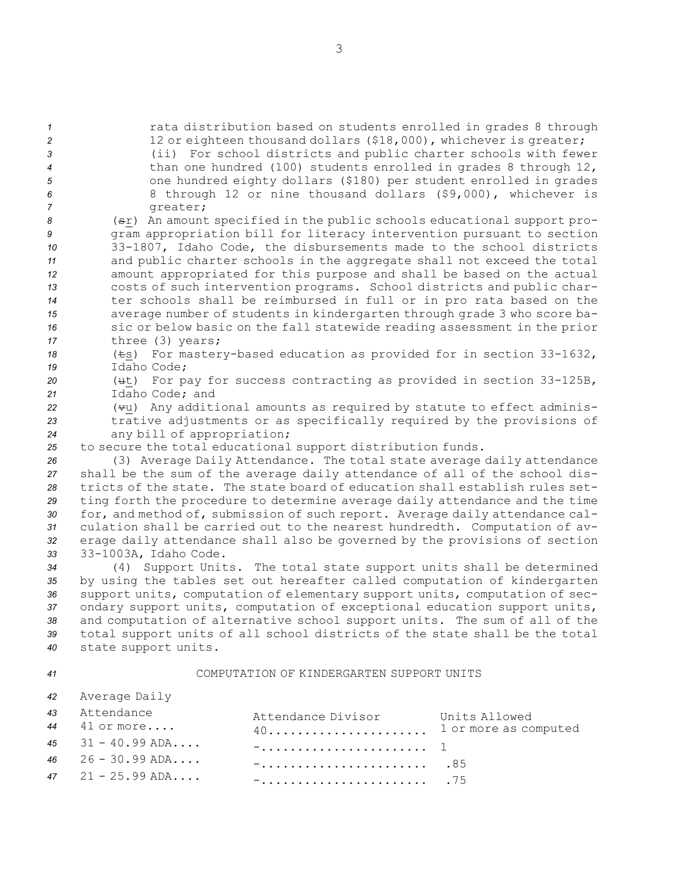rata distribution based on students enrolled in grades 8 through 2 12 or eighteen thousand dollars (\$18,000), whichever is greater; (ii) For school districts and public charter schools with fewer than one hundred (100) students enrolled in grades 8 through 12, one hundred eighty dollars (\$180) per student enrolled in grades 8 through 12 or nine thousand dollars (\$9,000), whichever is 7 greater; (sr) An amount specified in the public schools educational support pro- gram appropriation bill for literacy intervention pursuant to section 33-1807, Idaho Code, the disbursements made to the school districts and public charter schools in the aggregate shall not exceed the total amount appropriated for this purpose and shall be based on the actual costs of such intervention programs. School districts and public char- ter schools shall be reimbursed in full or in pro rata based on the average number of students in kindergarten through grade 3 who score ba- sic or below basic on the fall statewide reading assessment in the prior three (3) years; (ts) For mastery-based education as provided for in section 33-1632, Idaho Code;

*<sup>20</sup>* (ut) For pay for success contracting as provided in section 33-125B, *21* Idaho Code; and

*<sup>22</sup>* (vu) Any additional amounts as required by statute to effect adminis-*<sup>23</sup>* trative adjustments or as specifically required by the provisions of *<sup>24</sup>* any bill of appropriation;

*<sup>25</sup>* to secure the total educational support distribution funds.

 (3) Average Daily Attendance. The total state average daily attendance shall be the sum of the average daily attendance of all of the school dis- tricts of the state. The state board of education shall establish rules set- ting forth the procedure to determine average daily attendance and the time for, and method of, submission of such report. Average daily attendance cal- culation shall be carried out to the nearest hundredth. Computation of av- erage daily attendance shall also be governed by the provisions of section 33-1003A, Idaho Code.

 (4) Support Units. The total state support units shall be determined by using the tables set out hereafter called computation of kindergarten support units, computation of elementary support units, computation of sec- ondary support units, computation of exceptional education support units, and computation of alternative school support units. The sum of all of the total support units of all school districts of the state shall be the total state support units.

#### *41* COMPUTATION OF KINDERGARTEN SUPPORT UNITS

| 42 Average Daily    |                          |               |
|---------------------|--------------------------|---------------|
| 43 Attendance       | Attendance Divisor       | Units Allowed |
| $44$ $41$ or more   | 40 1 or more as computed |               |
| 45 $31 - 40.99$ ADA |                          |               |
| 46 $26 - 30.99$ ADA | <u>-85</u>               |               |
| 47 $21 - 25.99$ ADA |                          |               |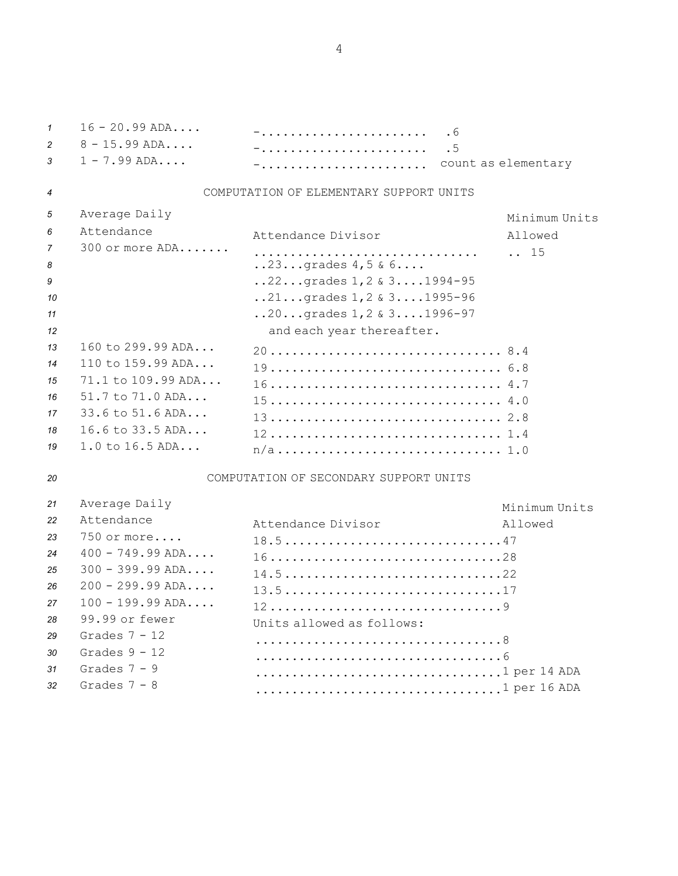16 - 20.99 ADA.... -....................... .6 8 - 15.99 ADA.... -....................... .5 1 - 7.99 ADA.... -....................... count as elementary COMPUTATION OF ELEMENTARY SUPPORT UNITS Average Daily Minimum Units Attendance Attendance Divisor Allowed 300 or more ADA....... ............................... .. 15 ... **23...**grades  $4, 5 \& 6...$  ...22...grades 1, 2 & 3....1994-95 ..21...grades 1,2 & 3....1995-96 ..20...grades 1,2 & 3....1996-97 **12 12 and each year thereafter.**  160 to 299.99 ADA... 20................................ 8.4 110 to 159.99 ADA... 19................................ 6.8 71.1 to 109.99 ADA... 16................................ 4.7 51.7 to 71.0 ADA... 15................................ 4.0 33.6 to 51.6 ADA... 13................................ 2.8 16.6 to 33.5 ADA... 12................................ 1.4 1.0 to 16.5 ADA... n/a............................... 1.0

# *20* COMPUTATION OF SECONDARY SUPPORT UNITS

| 21              | Average Daily      | Minimum Units                 |
|-----------------|--------------------|-------------------------------|
| 22              | Attendance         | Attendance Divisor<br>Allowed |
| 23              | 750 or more        |                               |
| 24              | $400 - 749.99$ ADA | 1628                          |
| 25              | $300 - 399.99$ ADA | 14.522                        |
| 26              | $200 - 299.99$ ADA | 13.517                        |
| 27              | $100 - 199.99$ ADA | 129                           |
| 28              | 99.99 or fewer     | Units allowed as follows:     |
| 29              | Grades $7 - 12$    |                               |
| 30              | Grades $9 - 12$    |                               |
| 31              | Grades $7 - 9$     | 1 per 14 ADA                  |
| 32 <sub>2</sub> | Grades $7 - 8$     | 1 per 16 ADA                  |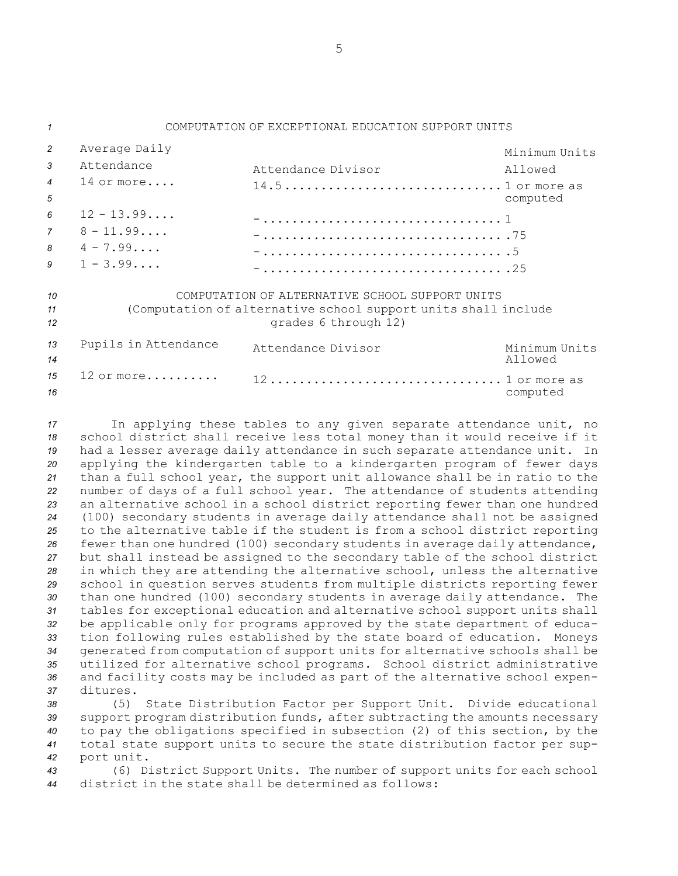| $\mathbf{1}$                               | COMPUTATION OF EXCEPTIONAL EDUCATION SUPPORT UNITS                                                                                        |                                          |                                      |  |  |  |
|--------------------------------------------|-------------------------------------------------------------------------------------------------------------------------------------------|------------------------------------------|--------------------------------------|--|--|--|
| $\overline{c}$<br>3<br>$\overline{4}$<br>5 | Average Daily<br>Attendance<br>$14$ or more                                                                                               | Attendance Divisor<br>$14.51$ or more as | Minimum Units<br>Allowed<br>computed |  |  |  |
| 6<br>7<br>8<br>9                           | $12 - 13.99$<br>$8 - 11.99$<br>$4 - 7.99$<br>$1 - 3.99$                                                                                   |                                          |                                      |  |  |  |
| 10<br>11<br>12                             | COMPUTATION OF ALTERNATIVE SCHOOL SUPPORT UNITS<br>(Computation of alternative school support units shall include<br>grades 6 through 12) |                                          |                                      |  |  |  |
| 13<br>14                                   | Pupils in Attendance                                                                                                                      | Attendance Divisor                       | Minimum Units<br>Allowed             |  |  |  |
| 15<br>16                                   | $12$ or more                                                                                                                              | 12 1 or more as                          | computed                             |  |  |  |

 In applying these tables to any given separate attendance unit, no school district shall receive less total money than it would receive if it had <sup>a</sup> lesser average daily attendance in such separate attendance unit. In applying the kindergarten table to <sup>a</sup> kindergarten program of fewer days than <sup>a</sup> full school year, the support unit allowance shall be in ratio to the number of days of <sup>a</sup> full school year. The attendance of students attending an alternative school in <sup>a</sup> school district reporting fewer than one hundred (100) secondary students in average daily attendance shall not be assigned to the alternative table if the student is from <sup>a</sup> school district reporting fewer than one hundred (100) secondary students in average daily attendance, but shall instead be assigned to the secondary table of the school district in which they are attending the alternative school, unless the alternative school in question serves students from multiple districts reporting fewer than one hundred (100) secondary students in average daily attendance. The tables for exceptional education and alternative school support units shall be applicable only for programs approved by the state department of educa- tion following rules established by the state board of education. Moneys generated from computation of support units for alternative schools shall be utilized for alternative school programs. School district administrative and facility costs may be included as part of the alternative school expen-*37* ditures.

 (5) State Distribution Factor per Support Unit. Divide educational support program distribution funds, after subtracting the amounts necessary to pay the obligations specified in subsection (2) of this section, by the total state support units to secure the state distribution factor per sup-port unit.

*<sup>43</sup>* (6) District Support Units. The number of support units for each school *44* district in the state shall be determined as follows: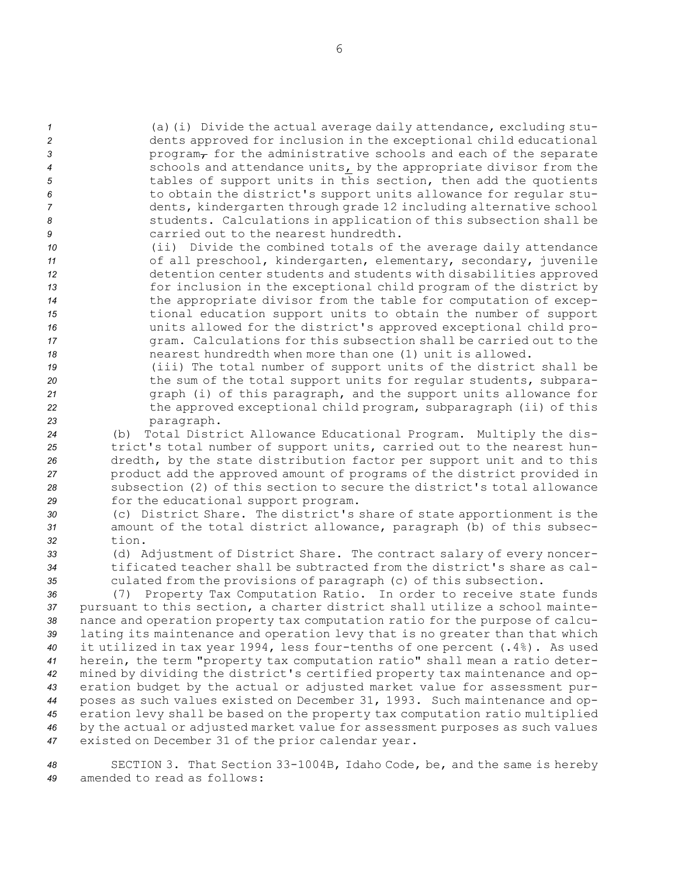(a)(i) Divide the actual average daily attendance, excluding stu- dents approved for inclusion in the exceptional child educational **3** program<sub> $\tau$ </sub> for the administrative schools and each of the separate schools and attendance units, by the appropriate divisor from the tables of support units in this section, then add the quotients to obtain the district's support units allowance for regular stu- dents, kindergarten through grade 12 including alternative school students. Calculations in application of this subsection shall be carried out to the nearest hundredth.

 (ii) Divide the combined totals of the average daily attendance 11 of all preschool, kindergarten, elementary, secondary, juvenile detention center students and students with disabilities approved for inclusion in the exceptional child program of the district by the appropriate divisor from the table for computation of excep- tional education support units to obtain the number of support units allowed for the district's approved exceptional child pro- gram. Calculations for this subsection shall be carried out to the nearest hundredth when more than one (1) unit is allowed.

 (iii) The total number of support units of the district shall be the sum of the total support units for regular students, subpara- graph (i) of this paragraph, and the support units allowance for the approved exceptional child program, subparagraph (ii) of this paragraph.

 (b) Total District Allowance Educational Program. Multiply the dis- trict's total number of support units, carried out to the nearest hun- dredth, by the state distribution factor per support unit and to this product add the approved amount of programs of the district provided in subsection (2) of this section to secure the district's total allowance for the educational support program.

*<sup>30</sup>* (c) District Share. The district's share of state apportionment is the *<sup>31</sup>* amount of the total district allowance, paragraph (b) of this subsec-*32* tion.

*<sup>33</sup>* (d) Adjustment of District Share. The contract salary of every noncer-*34* tificated teacher shall be subtracted from the district's share as cal-*<sup>35</sup>* culated from the provisions of paragraph (c) of this subsection.

 (7) Property Tax Computation Ratio. In order to receive state funds pursuant to this section, <sup>a</sup> charter district shall utilize <sup>a</sup> school mainte- nance and operation property tax computation ratio for the purpose of calcu- lating its maintenance and operation levy that is no greater than that which it utilized in tax year 1994, less four-tenths of one percent (.4%). As used herein, the term "property tax computation ratio" shall mean <sup>a</sup> ratio deter- mined by dividing the district's certified property tax maintenance and op- eration budget by the actual or adjusted market value for assessment pur- poses as such values existed on December 31, 1993. Such maintenance and op- eration levy shall be based on the property tax computation ratio multiplied by the actual or adjusted market value for assessment purposes as such values existed on December 31 of the prior calendar year.

*<sup>48</sup>* SECTION 3. That Section 33-1004B, Idaho Code, be, and the same is hereby *49* amended to read as follows: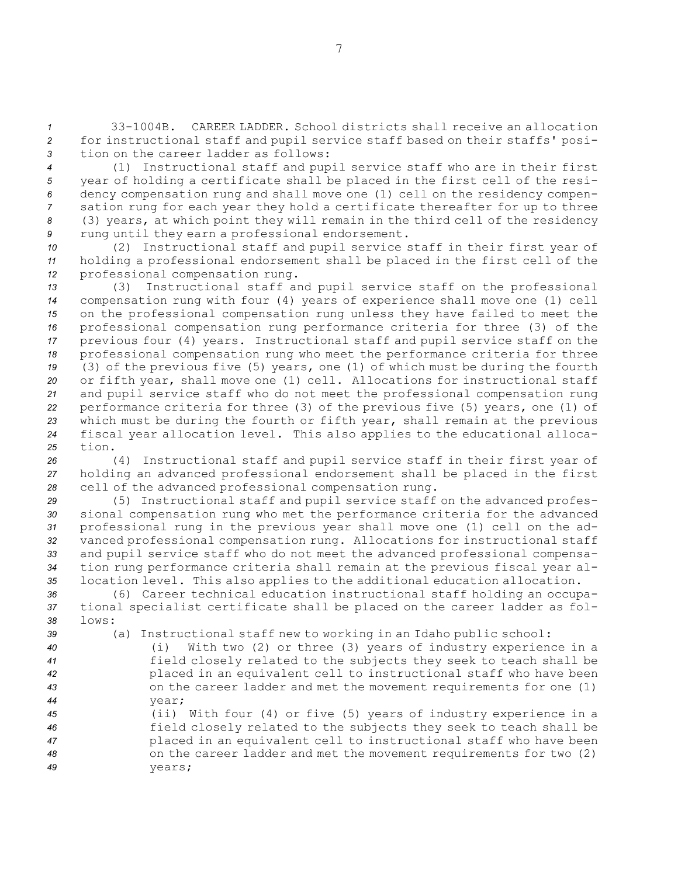*1* 33-1004B. CAREER LADDER. School districts shall receive an allocation *<sup>2</sup>* for instructional staff and pupil service staff based on their staffs' posi-*3* tion on the career ladder as follows:

 (1) Instructional staff and pupil service staff who are in their first year of holding <sup>a</sup> certificate shall be placed in the first cell of the resi- dency compensation rung and shall move one (1) cell on the residency compen- sation rung for each year they hold <sup>a</sup> certificate thereafter for up to three (3) years, at which point they will remain in the third cell of the residency rung until they earn <sup>a</sup> professional endorsement.

*<sup>10</sup>* (2) Instructional staff and pupil service staff in their first year of *<sup>11</sup>* holding <sup>a</sup> professional endorsement shall be placed in the first cell of the *<sup>12</sup>* professional compensation rung.

 (3) Instructional staff and pupil service staff on the professional compensation rung with four (4) years of experience shall move one (1) cell on the professional compensation rung unless they have failed to meet the professional compensation rung performance criteria for three (3) of the previous four (4) years. Instructional staff and pupil service staff on the professional compensation rung who meet the performance criteria for three (3) of the previous five (5) years, one (1) of which must be during the fourth or fifth year, shall move one (1) cell. Allocations for instructional staff and pupil service staff who do not meet the professional compensation rung performance criteria for three (3) of the previous five (5) years, one (1) of which must be during the fourth or fifth year, shall remain at the previous fiscal year allocation level. This also applies to the educational alloca-*25* tion.

*<sup>26</sup>* (4) Instructional staff and pupil service staff in their first year of *<sup>27</sup>* holding an advanced professional endorsement shall be placed in the first *<sup>28</sup>* cell of the advanced professional compensation rung.

 (5) Instructional staff and pupil service staff on the advanced profes- sional compensation rung who met the performance criteria for the advanced professional rung in the previous year shall move one (1) cell on the ad- vanced professional compensation rung. Allocations for instructional staff and pupil service staff who do not meet the advanced professional compensa- tion rung performance criteria shall remain at the previous fiscal year al-location level. This also applies to the additional education allocation.

*<sup>36</sup>* (6) Career technical education instructional staff holding an occupa-*<sup>37</sup>* tional specialist certificate shall be placed on the career ladder as fol-*38* lows:

*<sup>39</sup>* (a) Instructional staff new to working in an Idaho public school:

 (i) With two (2) or three (3) years of industry experience in <sup>a</sup> field closely related to the subjects they seek to teach shall be placed in an equivalent cell to instructional staff who have been on the career ladder and met the movement requirements for one (1) *44* year;

 (ii) With four (4) or five (5) years of industry experience in <sup>a</sup> field closely related to the subjects they seek to teach shall be placed in an equivalent cell to instructional staff who have been on the career ladder and met the movement requirements for two (2) *49* years;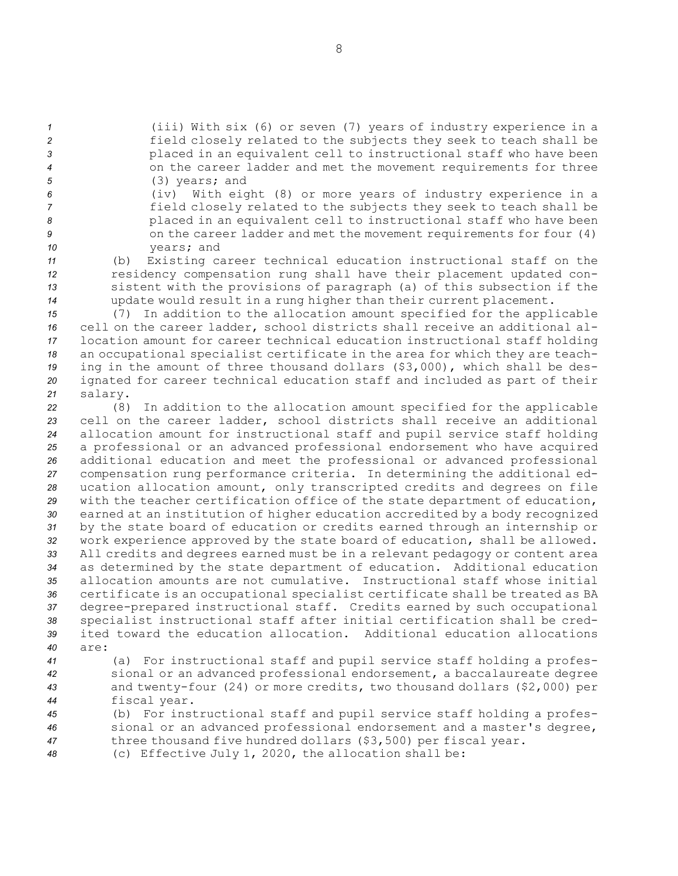(iii) With six (6) or seven (7) years of industry experience in <sup>a</sup> field closely related to the subjects they seek to teach shall be placed in an equivalent cell to instructional staff who have been on the career ladder and met the movement requirements for three (3) years; and

 (iv) With eight (8) or more years of industry experience in <sup>a</sup> field closely related to the subjects they seek to teach shall be placed in an equivalent cell to instructional staff who have been 9 on the career ladder and met the movement requirements for four (4) years; and

 (b) Existing career technical education instructional staff on the residency compensation rung shall have their placement updated con- sistent with the provisions of paragraph (a) of this subsection if the update would result in <sup>a</sup> rung higher than their current placement.

 (7) In addition to the allocation amount specified for the applicable cell on the career ladder, school districts shall receive an additional al- location amount for career technical education instructional staff holding an occupational specialist certificate in the area for which they are teach- ing in the amount of three thousand dollars (\$3,000), which shall be des- ignated for career technical education staff and included as part of their *<sup>21</sup>* salary.

 (8) In addition to the allocation amount specified for the applicable cell on the career ladder, school districts shall receive an additional allocation amount for instructional staff and pupil service staff holding <sup>a</sup> professional or an advanced professional endorsement who have acquired additional education and meet the professional or advanced professional compensation rung performance criteria. In determining the additional ed- ucation allocation amount, only transcripted credits and degrees on file with the teacher certification office of the state department of education, earned at an institution of higher education accredited by <sup>a</sup> body recognized by the state board of education or credits earned through an internship or work experience approved by the state board of education, shall be allowed. All credits and degrees earned must be in <sup>a</sup> relevant pedagogy or content area as determined by the state department of education. Additional education allocation amounts are not cumulative. Instructional staff whose initial certificate is an occupational specialist certificate shall be treated as BA degree-prepared instructional staff. Credits earned by such occupational specialist instructional staff after initial certification shall be cred- ited toward the education allocation. Additional education allocations *40* are:

 (a) For instructional staff and pupil service staff holding <sup>a</sup> profes- sional or an advanced professional endorsement, <sup>a</sup> baccalaureate degree and twenty-four (24) or more credits, two thousand dollars (\$2,000) per fiscal year.

*<sup>45</sup>* (b) For instructional staff and pupil service staff holding <sup>a</sup> profes-*<sup>46</sup>* sional or an advanced professional endorsement and <sup>a</sup> master's degree, *<sup>47</sup>* three thousand five hundred dollars (\$3,500) per fiscal year.

*<sup>48</sup>* (c) Effective July 1, 2020, the allocation shall be: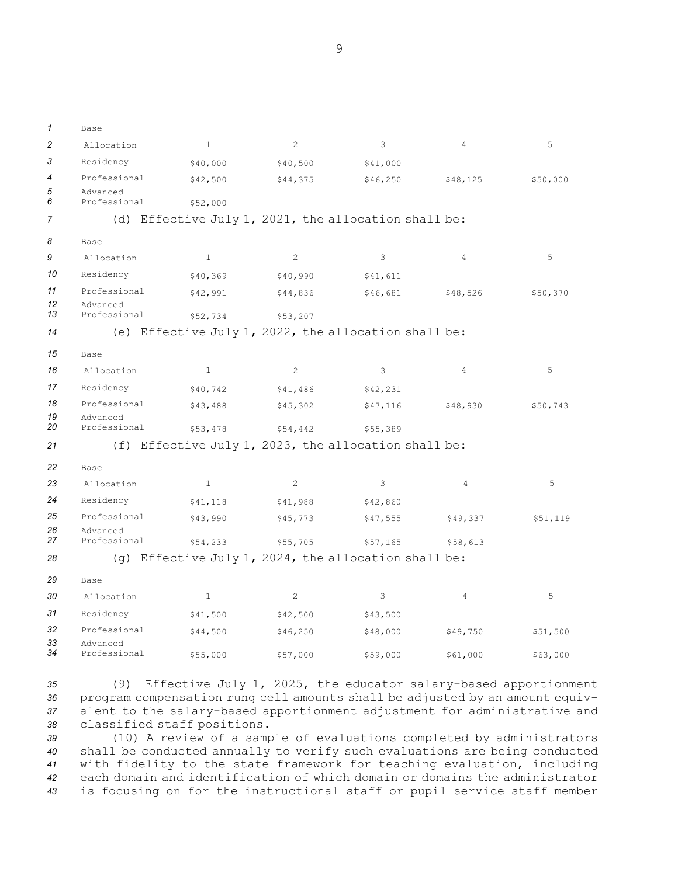| 1        | Base                     |              |                                                      |          |                |          |
|----------|--------------------------|--------------|------------------------------------------------------|----------|----------------|----------|
| 2        | Allocation               | $\mathbf{1}$ | 2                                                    | 3        | 4              | 5        |
| 3        | Residency                | \$40,000     | \$40,500                                             | \$41,000 |                |          |
| 4        | Professional             | \$42,500     | \$44,375                                             | \$46,250 | \$48,125       | \$50,000 |
| 5<br>6   | Advanced<br>Professional | \$52,000     |                                                      |          |                |          |
| 7        | (d)                      |              | Effective July 1, 2021, the allocation shall be:     |          |                |          |
| 8        | Base                     |              |                                                      |          |                |          |
| 9        | Allocation               | 1            | $\mathbf{2}$                                         | 3        | 4              | 5        |
| 10       | Residency                | \$40,369     | \$40,990                                             | \$41,611 |                |          |
| 11       | Professional             | \$42,991     | \$44,836                                             | \$46,681 | \$48,526       | \$50,370 |
| 12<br>13 | Advanced<br>Professional |              |                                                      |          |                |          |
| 14       |                          | \$52,734     | \$53,207                                             |          |                |          |
|          |                          |              | (e) Effective July 1, 2022, the allocation shall be: |          |                |          |
| 15       | Base                     |              |                                                      |          |                |          |
| 16       | Allocation               | $\mathbf{1}$ | $\overline{c}$                                       | 3        | $\overline{4}$ | 5        |
| 17       | Residency                | \$40,742     | \$41,486                                             | \$42,231 |                |          |
| 18       | Professional             | \$43,488     | \$45,302                                             | \$47,116 | \$48,930       | \$50,743 |
| 19<br>20 | Advanced<br>Professional | \$53,478     | \$54,442                                             | \$55,389 |                |          |
| 21       |                          |              | (f) Effective July 1, 2023, the allocation shall be: |          |                |          |
| 22       | Base                     |              |                                                      |          |                |          |
| 23       | Allocation               | $\mathbf{1}$ | $\overline{c}$                                       | 3        | $\overline{4}$ | 5        |
| 24       | Residency                | \$41,118     | \$41,988                                             | \$42,860 |                |          |
| 25       | Professional             | \$43,990     | \$45,773                                             | \$47,555 | \$49,337       | \$51,119 |
| 26       | Advanced                 |              |                                                      |          |                |          |
| 27       | Professional             | \$54,233     | \$55,705                                             | \$57,165 | \$58,613       |          |
| 28       | $(\alpha)$               |              | Effective July 1, 2024, the allocation shall be:     |          |                |          |
| 29       | Base                     |              |                                                      |          |                |          |
| 30       | Allocation               | $\mathbf{1}$ | 2                                                    | 3        | 4              | 5        |
| 31       | Residency                | \$41,500     | \$42,500                                             | \$43,500 |                |          |
| 32       | Professional             | \$44,500     | \$46,250                                             | \$48,000 | \$49,750       | \$51,500 |
| 33<br>34 | Advanced<br>Professional | \$55,000     | \$57,000                                             | \$59,000 | \$61,000       | \$63,000 |

 (9) Effective July 1, 2025, the educator salary-based apportionment program compensation rung cell amounts shall be adjusted by an amount equiv- alent to the salary-based apportionment adjustment for administrative and classified staff positions.

 (10) <sup>A</sup> review of <sup>a</sup> sample of evaluations completed by administrators shall be conducted annually to verify such evaluations are being conducted with fidelity to the state framework for teaching evaluation, including each domain and identification of which domain or domains the administrator is focusing on for the instructional staff or pupil service staff member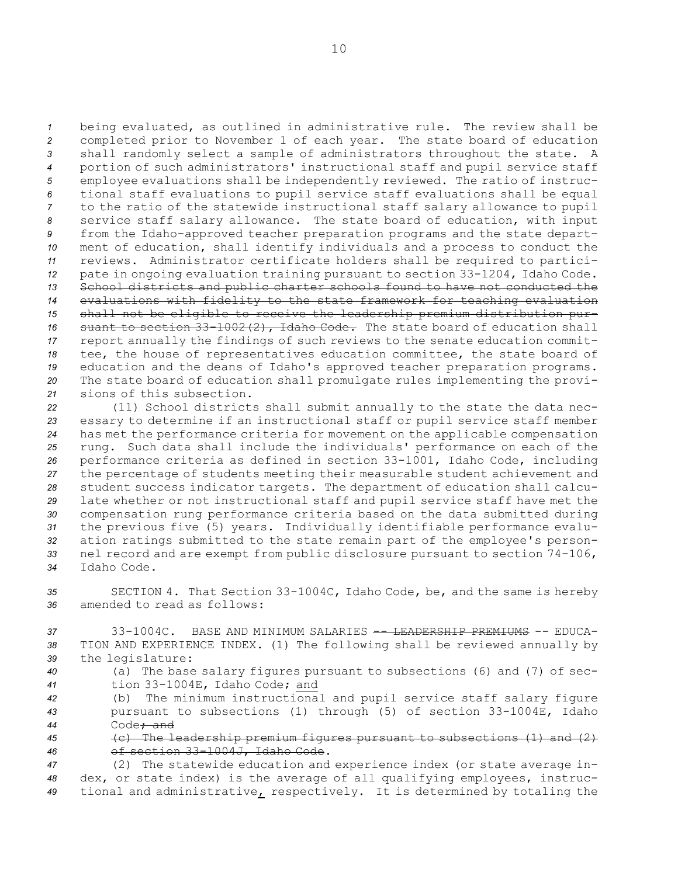being evaluated, as outlined in administrative rule. The review shall be completed prior to November 1 of each year. The state board of education shall randomly select <sup>a</sup> sample of administrators throughout the state. <sup>A</sup> portion of such administrators' instructional staff and pupil service staff employee evaluations shall be independently reviewed. The ratio of instruc- tional staff evaluations to pupil service staff evaluations shall be equal to the ratio of the statewide instructional staff salary allowance to pupil service staff salary allowance. The state board of education, with input from the Idaho-approved teacher preparation programs and the state depart- ment of education, shall identify individuals and <sup>a</sup> process to conduct the reviews. Administrator certificate holders shall be required to partici- pate in ongoing evaluation training pursuant to section 33-1204, Idaho Code. School districts and public charter schools found to have not conducted the evaluations with fidelity to the state framework for teaching evaluation shall not be eligible to receive the leadership premium distribution pur- suant to section 33-1002(2), Idaho Code. The state board of education shall report annually the findings of such reviews to the senate education commit- tee, the house of representatives education committee, the state board of education and the deans of Idaho's approved teacher preparation programs. The state board of education shall promulgate rules implementing the provi-sions of this subsection.

 (11) School districts shall submit annually to the state the data nec- essary to determine if an instructional staff or pupil service staff member has met the performance criteria for movement on the applicable compensation rung. Such data shall include the individuals' performance on each of the performance criteria as defined in section 33-1001, Idaho Code, including the percentage of students meeting their measurable student achievement and student success indicator targets. The department of education shall calcu- late whether or not instructional staff and pupil service staff have met the compensation rung performance criteria based on the data submitted during the previous five (5) years. Individually identifiable performance evalu- ation ratings submitted to the state remain part of the employee's person- nel record and are exempt from public disclosure pursuant to section 74-106, Idaho Code.

*<sup>35</sup>* SECTION 4. That Section 33-1004C, Idaho Code, be, and the same is hereby *36* amended to read as follows:

*37* 33-1004C. BASE AND MINIMUM SALARIES -- LEADERSHIP PREMIUMS -- EDUCA-*<sup>38</sup>* TION AND EXPERIENCE INDEX. (1) The following shall be reviewed annually by *<sup>39</sup>* the legislature:

*<sup>40</sup>* (a) The base salary figures pursuant to subsections (6) and (7) of sec-*<sup>41</sup>* tion 33-1004E, Idaho Code; and

*<sup>42</sup>* (b) The minimum instructional and pupil service staff salary figure *<sup>43</sup>* pursuant to subsections (1) through (5) of section 33-1004E, Idaho *44* Code; and

*<sup>45</sup>* (c) The leadership premium figures pursuant to subsections (1) and (2) *<sup>46</sup>* of section 33-1004J, Idaho Code.

*<sup>47</sup>* (2) The statewide education and experience index (or state average in-*<sup>48</sup>* dex, or state index) is the average of all qualifying employees, instruc-*<sup>49</sup>* tional and administrative, respectively. It is determined by totaling the